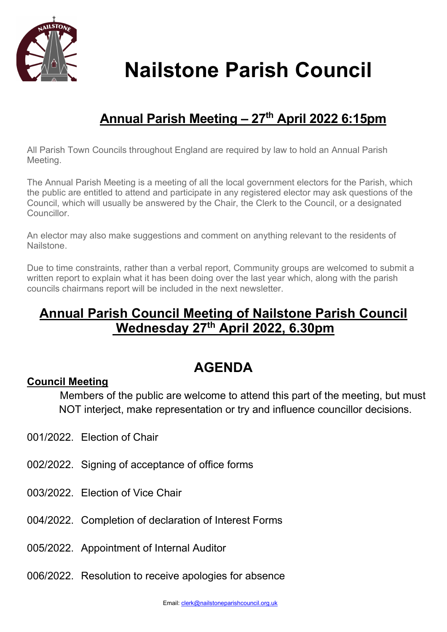

# Nailstone Parish Council Nailstone Parish Council

## Annual Parish Meeting - 27<sup>th</sup> April 2022 6:15pm

All Parish Town Councils throughout England are required by law to hold an Annual Parish Meeting.

The Annual Parish Meeting is a meeting of all the local government electors for the Parish, which the public are entitled to attend and participate in any registered elector may ask questions of the Council, which will usually be answered by the Chair, the Clerk to the Council, or a designated **Councillor** 

An elector may also make suggestions and comment on anything relevant to the residents of Nailstone.

Due to time constraints, rather than a verbal report, Community groups are welcomed to submit a written report to explain what it has been doing over the last year which, along with the parish councils chairmans report will be included in the next newsletter.

### Annual Parish Council Meeting of Nailstone Parish Council Wednesday 27<sup>th</sup> April 2022, 6.30pm

### AGENDA

#### Council Meeting

 Members of the public are welcome to attend this part of the meeting, but must NOT interject, make representation or try and influence councillor decisions.

- 001/2022. Election of Chair
- 002/2022. Signing of acceptance of office forms
- 003/2022. Election of Vice Chair
- 004/2022. Completion of declaration of Interest Forms
- 005/2022. Appointment of Internal Auditor
- 006/2022. Resolution to receive apologies for absence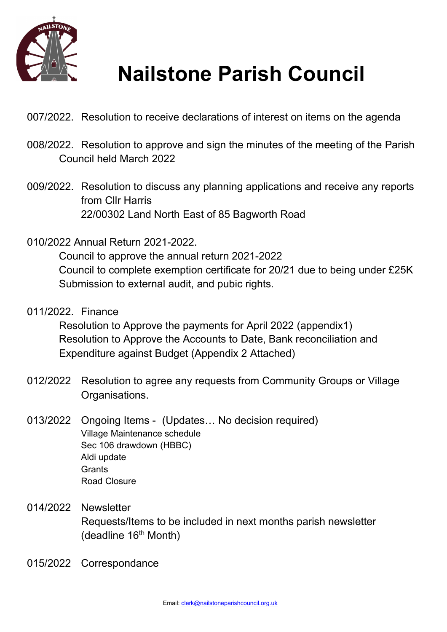

## Nailstone Parish Council

- 007/2022. Resolution to receive declarations of interest on items on the agenda
- 008/2022. Resolution to approve and sign the minutes of the meeting of the Parish Council held March 2022
- 009/2022. Resolution to discuss any planning applications and receive any reports from Cllr Harris 22/00302 Land North East of 85 Bagworth Road
- 010/2022 Annual Return 2021-2022.

 Council to approve the annual return 2021-2022 Council to complete exemption certificate for 20/21 due to being under £25K Submission to external audit, and pubic rights.

011/2022. Finance

Resolution to Approve the payments for April 2022 (appendix1) Resolution to Approve the Accounts to Date, Bank reconciliation and Expenditure against Budget (Appendix 2 Attached)

- 012/2022 Resolution to agree any requests from Community Groups or Village Organisations.
- 013/2022 Ongoing Items (Updates… No decision required) Village Maintenance schedule Sec 106 drawdown (HBBC) Aldi update **Grants** Road Closure
- 014/2022 Newsletter Requests/Items to be included in next months parish newsletter (deadline 16<sup>th</sup> Month)
- 015/2022 Correspondance